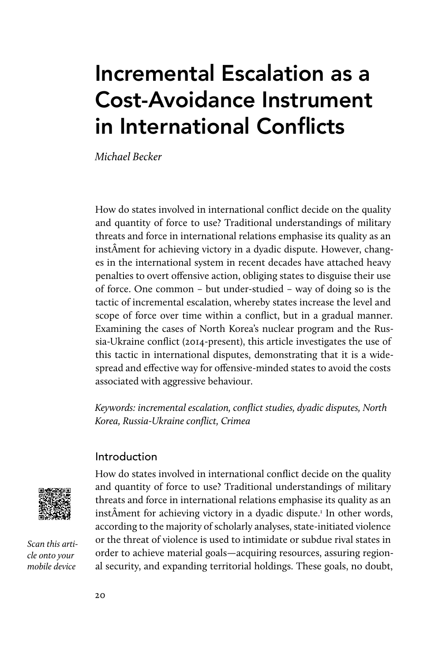# Incremental Escalation as a Cost-Avoidance Instrument in International Conflicts

Michael Becker

How do states involved in international conflict decide on the quality and quantity of force to use? Traditional understandings of military threats and force in international relations emphasise its quality as an instÂment for achieving victory in a dyadic dispute. However, changes in the international system in recent decades have attached heavy penalties to overt offensive action, obliging states to disguise their use of force. One common – but under-studied – way of doing so is the tactic of incremental escalation, whereby states increase the level and scope of force over time within a conflict, but in a gradual manner. Examining the cases of North Korea's nuclear program and the Russia-Ukraine conflict (2014-present), this article investigates the use of this tactic in international disputes, demonstrating that it is a widespread and effective way for offensive-minded states to avoid the costs associated with aggressive behaviour.

Keywords: incremental escalation, conflict studies, dyadic disputes, North Korea, Russia-Ukraine conflict, Crimea

# Introduction



Scan this article onto your mobile device

How do states involved in international conflict decide on the quality and quantity of force to use? Traditional understandings of military threats and force in international relations emphasise its quality as an instÂment for achieving victory in a dyadic dispute.1 In other words, according to the majority of scholarly analyses, state-initiated violence or the threat of violence is used to intimidate or subdue rival states in order to achieve material goals—acquiring resources, assuring regional security, and expanding territorial holdings. These goals, no doubt,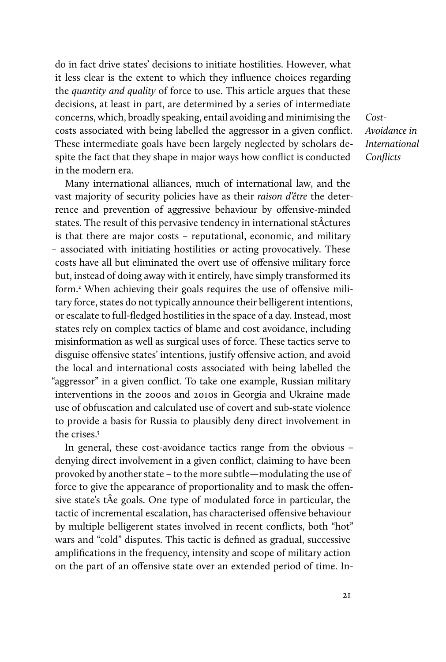do in fact drive states' decisions to initiate hostilities. However, what it less clear is the extent to which they influence choices regarding the quantity and quality of force to use. This article argues that these decisions, at least in part, are determined by a series of intermediate concerns, which, broadly speaking, entail avoiding and minimising the costs associated with being labelled the aggressor in a given conflict. These intermediate goals have been largely neglected by scholars despite the fact that they shape in major ways how conflict is conducted in the modern era.

Many international alliances, much of international law, and the vast majority of security policies have as their raison d'être the deterrence and prevention of aggressive behaviour by offensive-minded states. The result of this pervasive tendency in international stÂctures is that there are major costs – reputational, economic, and military – associated with initiating hostilities or acting provocatively. These costs have all but eliminated the overt use of offensive military force but, instead of doing away with it entirely, have simply transformed its form.<sup>2</sup> When achieving their goals requires the use of offensive military force, states do not typically announce their belligerent intentions, or escalate to full-fledged hostilities in the space of a day. Instead, most states rely on complex tactics of blame and cost avoidance, including misinformation as well as surgical uses of force. These tactics serve to disguise offensive states' intentions, justify offensive action, and avoid the local and international costs associated with being labelled the "aggressor" in a given conflict. To take one example, Russian military interventions in the 2000s and 2010s in Georgia and Ukraine made use of obfuscation and calculated use of covert and sub-state violence to provide a basis for Russia to plausibly deny direct involvement in the crises.3

In general, these cost-avoidance tactics range from the obvious – denying direct involvement in a given conflict, claiming to have been provoked by another state – to the more subtle—modulating the use of force to give the appearance of proportionality and to mask the offensive state's tÂe goals. One type of modulated force in particular, the tactic of incremental escalation, has characterised offensive behaviour by multiple belligerent states involved in recent conflicts, both "hot" wars and "cold" disputes. This tactic is defined as gradual, successive amplifications in the frequency, intensity and scope of military action on the part of an offensive state over an extended period of time. In-

Cost-Avoidance in International Conflicts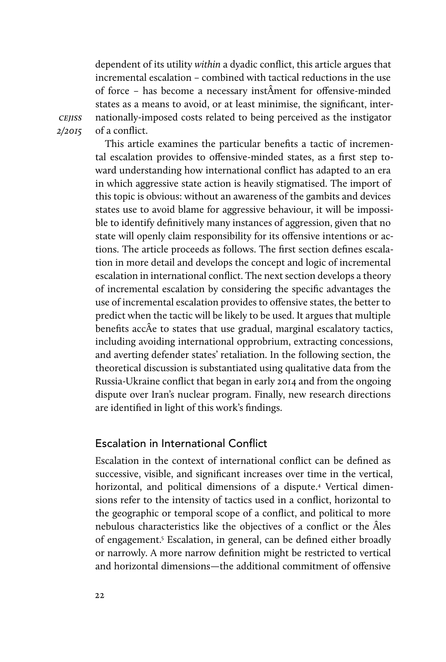dependent of its utility within a dyadic conflict, this article argues that incremental escalation – combined with tactical reductions in the use of force – has become a necessary instÂment for offensive-minded states as a means to avoid, or at least minimise, the significant, internationally-imposed costs related to being perceived as the instigator of a conflict.

**CEJISS** 2/2015

This article examines the particular benefits a tactic of incremental escalation provides to offensive-minded states, as a first step toward understanding how international conflict has adapted to an era in which aggressive state action is heavily stigmatised. The import of this topic is obvious: without an awareness of the gambits and devices states use to avoid blame for aggressive behaviour, it will be impossible to identify definitively many instances of aggression, given that no state will openly claim responsibility for its offensive intentions or actions. The article proceeds as follows. The first section defines escalation in more detail and develops the concept and logic of incremental escalation in international conflict. The next section develops a theory of incremental escalation by considering the specific advantages the use of incremental escalation provides to offensive states, the better to predict when the tactic will be likely to be used. It argues that multiple benefits accÂe to states that use gradual, marginal escalatory tactics, including avoiding international opprobrium, extracting concessions, and averting defender states' retaliation. In the following section, the theoretical discussion is substantiated using qualitative data from the Russia-Ukraine conflict that began in early 2014 and from the ongoing dispute over Iran's nuclear program. Finally, new research directions are identified in light of this work's findings.

# Escalation in International Conflict

Escalation in the context of international conflict can be defined as successive, visible, and significant increases over time in the vertical, horizontal, and political dimensions of a dispute.4 Vertical dimensions refer to the intensity of tactics used in a conflict, horizontal to the geographic or temporal scope of a conflict, and political to more nebulous characteristics like the objectives of a conflict or the Âles of engagement.<sup>5</sup> Escalation, in general, can be defined either broadly or narrowly. A more narrow definition might be restricted to vertical and horizontal dimensions—the additional commitment of offensive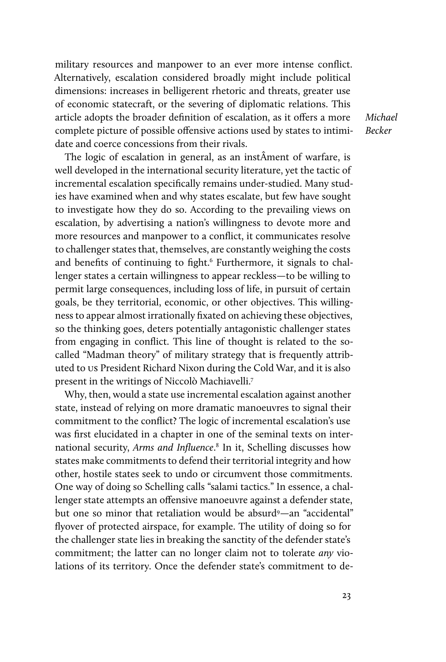military resources and manpower to an ever more intense conflict. Alternatively, escalation considered broadly might include political dimensions: increases in belligerent rhetoric and threats, greater use of economic statecraft, or the severing of diplomatic relations. This article adopts the broader definition of escalation, as it offers a more complete picture of possible offensive actions used by states to intimidate and coerce concessions from their rivals.

The logic of escalation in general, as an instÂment of warfare, is well developed in the international security literature, yet the tactic of incremental escalation specifically remains under-studied. Many studies have examined when and why states escalate, but few have sought to investigate how they do so. According to the prevailing views on escalation, by advertising a nation's willingness to devote more and more resources and manpower to a conflict, it communicates resolve to challenger states that, themselves, are constantly weighing the costs and benefits of continuing to fight.<sup>6</sup> Furthermore, it signals to challenger states a certain willingness to appear reckless—to be willing to permit large consequences, including loss of life, in pursuit of certain goals, be they territorial, economic, or other objectives. This willingness to appear almost irrationally fixated on achieving these objectives, so the thinking goes, deters potentially antagonistic challenger states from engaging in conflict. This line of thought is related to the socalled "Madman theory" of military strategy that is frequently attributed to us President Richard Nixon during the Cold War, and it is also present in the writings of Niccolò Machiavelli.7

Why, then, would a state use incremental escalation against another state, instead of relying on more dramatic manoeuvres to signal their commitment to the conflict? The logic of incremental escalation's use was first elucidated in a chapter in one of the seminal texts on international security, Arms and Influence.<sup>8</sup> In it, Schelling discusses how states make commitments to defend their territorial integrity and how other, hostile states seek to undo or circumvent those commitments. One way of doing so Schelling calls "salami tactics." In essence, a challenger state attempts an offensive manoeuvre against a defender state, but one so minor that retaliation would be absurd<sup>9</sup>—an "accidental" flyover of protected airspace, for example. The utility of doing so for the challenger state lies in breaking the sanctity of the defender state's commitment; the latter can no longer claim not to tolerate any violations of its territory. Once the defender state's commitment to deMichael Becker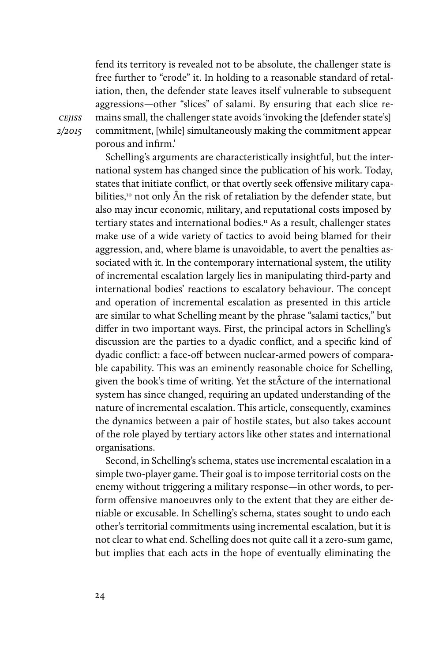fend its territory is revealed not to be absolute, the challenger state is free further to "erode" it. In holding to a reasonable standard of retaliation, then, the defender state leaves itself vulnerable to subsequent aggressions—other "slices" of salami. By ensuring that each slice remains small, the challenger state avoids 'invoking the [defender state's] commitment, [while] simultaneously making the commitment appear porous and infirm.'

Schelling's arguments are characteristically insightful, but the international system has changed since the publication of his work. Today, states that initiate conflict, or that overtly seek offensive military capabilities,<sup>10</sup> not only Ân the risk of retaliation by the defender state, but also may incur economic, military, and reputational costs imposed by tertiary states and international bodies.<sup> $\pi$ </sup> As a result, challenger states make use of a wide variety of tactics to avoid being blamed for their aggression, and, where blame is unavoidable, to avert the penalties associated with it. In the contemporary international system, the utility of incremental escalation largely lies in manipulating third-party and international bodies' reactions to escalatory behaviour. The concept and operation of incremental escalation as presented in this article are similar to what Schelling meant by the phrase "salami tactics," but differ in two important ways. First, the principal actors in Schelling's discussion are the parties to a dyadic conflict, and a specific kind of dyadic conflict: a face-off between nuclear-armed powers of comparable capability. This was an eminently reasonable choice for Schelling, given the book's time of writing. Yet the stÂcture of the international system has since changed, requiring an updated understanding of the nature of incremental escalation. This article, consequently, examines the dynamics between a pair of hostile states, but also takes account of the role played by tertiary actors like other states and international organisations.

Second, in Schelling's schema, states use incremental escalation in a simple two-player game. Their goal is to impose territorial costs on the enemy without triggering a military response—in other words, to perform offensive manoeuvres only to the extent that they are either deniable or excusable. In Schelling's schema, states sought to undo each other's territorial commitments using incremental escalation, but it is not clear to what end. Schelling does not quite call it a zero-sum game, but implies that each acts in the hope of eventually eliminating the

**CEJISS** 2/2015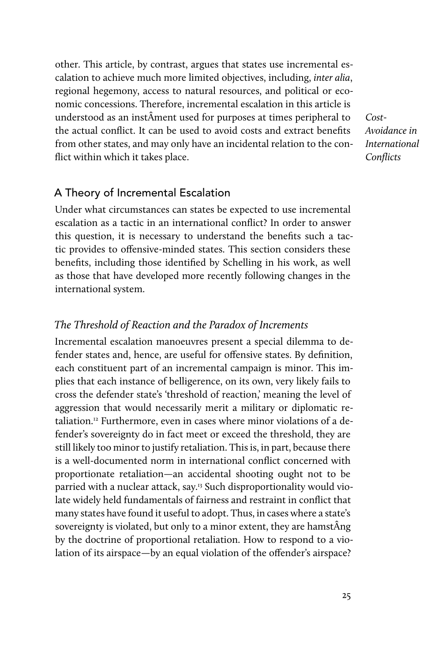other. This article, by contrast, argues that states use incremental escalation to achieve much more limited objectives, including, inter alia, regional hegemony, access to natural resources, and political or economic concessions. Therefore, incremental escalation in this article is understood as an instÂment used for purposes at times peripheral to the actual conflict. It can be used to avoid costs and extract benefits from other states, and may only have an incidental relation to the conflict within which it takes place.

Cost-Avoidance in International **Conflicts** 

# A Theory of Incremental Escalation

Under what circumstances can states be expected to use incremental escalation as a tactic in an international conflict? In order to answer this question, it is necessary to understand the benefits such a tactic provides to offensive-minded states. This section considers these benefits, including those identified by Schelling in his work, as well as those that have developed more recently following changes in the international system.

# The Threshold of Reaction and the Paradox of Increments

Incremental escalation manoeuvres present a special dilemma to defender states and, hence, are useful for offensive states. By definition, each constituent part of an incremental campaign is minor. This implies that each instance of belligerence, on its own, very likely fails to cross the defender state's 'threshold of reaction,' meaning the level of aggression that would necessarily merit a military or diplomatic retaliation.12 Furthermore, even in cases where minor violations of a defender's sovereignty do in fact meet or exceed the threshold, they are still likely too minor to justify retaliation. This is, in part, because there is a well-documented norm in international conflict concerned with proportionate retaliation—an accidental shooting ought not to be parried with a nuclear attack, say.13 Such disproportionality would violate widely held fundamentals of fairness and restraint in conflict that many states have found it useful to adopt. Thus, in cases where a state's sovereignty is violated, but only to a minor extent, they are hamstÂng by the doctrine of proportional retaliation. How to respond to a violation of its airspace—by an equal violation of the offender's airspace?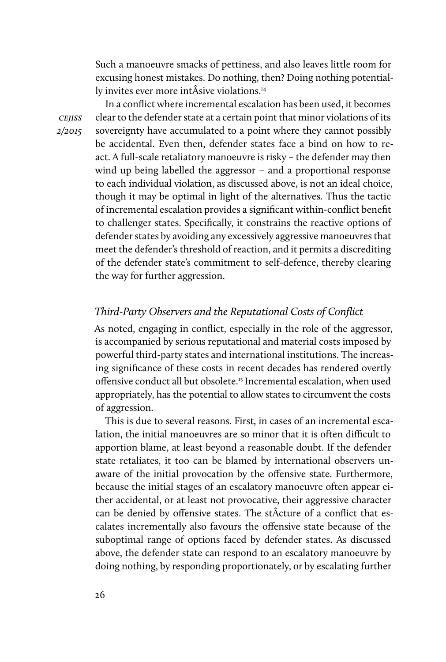Such a manoeuvre smacks of pettiness, and also leaves little room for excusing honest mistakes. Do nothing, then? Doing nothing potentially invites ever more intÂsive violations.14

In a conflict where incremental escalation has been used, it becomes clear to the defender state at a certain point that minor violations of its sovereignty have accumulated to a point where they cannot possibly be accidental. Even then, defender states face a bind on how to react. A full-scale retaliatory manoeuvre is risky – the defender may then wind up being labelled the aggressor – and a proportional response to each individual violation, as discussed above, is not an ideal choice, though it may be optimal in light of the alternatives. Thus the tactic of incremental escalation provides a significant within-conflict benefit to challenger states. Specifically, it constrains the reactive options of defender states by avoiding any excessively aggressive manoeuvres that meet the defender's threshold of reaction, and it permits a discrediting of the defender state's commitment to self-defence, thereby clearing the way for further aggression.

# Third-Party Observers and the Reputational Costs of Conflict

As noted, engaging in conflict, especially in the role of the aggressor, is accompanied by serious reputational and material costs imposed by powerful third-party states and international institutions. The increasing significance of these costs in recent decades has rendered overtly offensive conduct all but obsolete.15 Incremental escalation, when used appropriately, has the potential to allow states to circumvent the costs of aggression.

This is due to several reasons. First, in cases of an incremental escalation, the initial manoeuvres are so minor that it is often difficult to apportion blame, at least beyond a reasonable doubt. If the defender state retaliates, it too can be blamed by international observers unaware of the initial provocation by the offensive state. Furthermore, because the initial stages of an escalatory manoeuvre often appear either accidental, or at least not provocative, their aggressive character can be denied by offensive states. The stÂcture of a conflict that escalates incrementally also favours the offensive state because of the suboptimal range of options faced by defender states. As discussed above, the defender state can respond to an escalatory manoeuvre by doing nothing, by responding proportionately, or by escalating further

cejiss 2/2015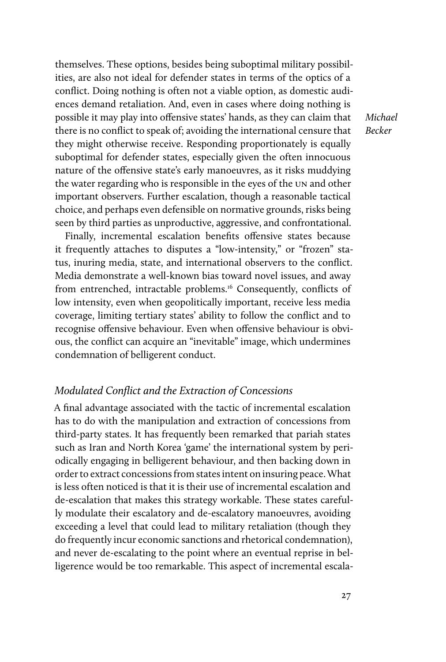themselves. These options, besides being suboptimal military possibilities, are also not ideal for defender states in terms of the optics of a conflict. Doing nothing is often not a viable option, as domestic audiences demand retaliation. And, even in cases where doing nothing is possible it may play into offensive states' hands, as they can claim that there is no conflict to speak of; avoiding the international censure that they might otherwise receive. Responding proportionately is equally suboptimal for defender states, especially given the often innocuous nature of the offensive state's early manoeuvres, as it risks muddying the water regarding who is responsible in the eyes of the un and other important observers. Further escalation, though a reasonable tactical choice, and perhaps even defensible on normative grounds, risks being seen by third parties as unproductive, aggressive, and confrontational.

Finally, incremental escalation benefits offensive states because it frequently attaches to disputes a "low-intensity," or "frozen" status, inuring media, state, and international observers to the conflict. Media demonstrate a well-known bias toward novel issues, and away from entrenched, intractable problems.<sup>16</sup> Consequently, conflicts of low intensity, even when geopolitically important, receive less media coverage, limiting tertiary states' ability to follow the conflict and to recognise offensive behaviour. Even when offensive behaviour is obvious, the conflict can acquire an "inevitable" image, which undermines condemnation of belligerent conduct.

# Modulated Conflict and the Extraction of Concessions

A final advantage associated with the tactic of incremental escalation has to do with the manipulation and extraction of concessions from third-party states. It has frequently been remarked that pariah states such as Iran and North Korea 'game' the international system by periodically engaging in belligerent behaviour, and then backing down in order to extract concessions from states intent on insuring peace. What is less often noticed is that it is their use of incremental escalation and de-escalation that makes this strategy workable. These states carefully modulate their escalatory and de-escalatory manoeuvres, avoiding exceeding a level that could lead to military retaliation (though they do frequently incur economic sanctions and rhetorical condemnation), and never de-escalating to the point where an eventual reprise in belligerence would be too remarkable. This aspect of incremental escalaMichael Becker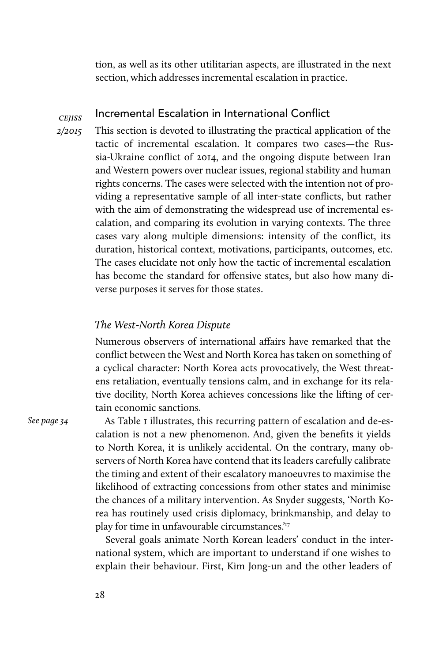tion, as well as its other utilitarian aspects, are illustrated in the next section, which addresses incremental escalation in practice.

#### **CEIISS** Incremental Escalation in International Conflict

2/2015

This section is devoted to illustrating the practical application of the tactic of incremental escalation. It compares two cases—the Russia-Ukraine conflict of 2014, and the ongoing dispute between Iran and Western powers over nuclear issues, regional stability and human rights concerns. The cases were selected with the intention not of providing a representative sample of all inter-state conflicts, but rather with the aim of demonstrating the widespread use of incremental escalation, and comparing its evolution in varying contexts. The three cases vary along multiple dimensions: intensity of the conflict, its duration, historical context, motivations, participants, outcomes, etc. The cases elucidate not only how the tactic of incremental escalation has become the standard for offensive states, but also how many diverse purposes it serves for those states.

# The West-North Korea Dispute

Numerous observers of international affairs have remarked that the conflict between the West and North Korea has taken on something of a cyclical character: North Korea acts provocatively, the West threatens retaliation, eventually tensions calm, and in exchange for its relative docility, North Korea achieves concessions like the lifting of certain economic sanctions.

See page 34

As Table I illustrates, this recurring pattern of escalation and de-escalation is not a new phenomenon. And, given the benefits it yields to North Korea, it is unlikely accidental. On the contrary, many observers of North Korea have contend that its leaders carefully calibrate the timing and extent of their escalatory manoeuvres to maximise the likelihood of extracting concessions from other states and minimise the chances of a military intervention. As Snyder suggests, 'North Korea has routinely used crisis diplomacy, brinkmanship, and delay to play for time in unfavourable circumstances.'<sup>17</sup>

Several goals animate North Korean leaders' conduct in the international system, which are important to understand if one wishes to explain their behaviour. First, Kim Jong-un and the other leaders of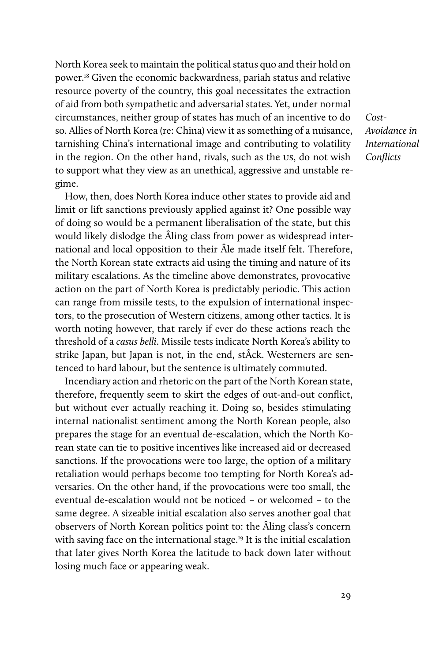North Korea seek to maintain the political status quo and their hold on power.18 Given the economic backwardness, pariah status and relative resource poverty of the country, this goal necessitates the extraction of aid from both sympathetic and adversarial states. Yet, under normal circumstances, neither group of states has much of an incentive to do so. Allies of North Korea (re: China) view it as something of a nuisance, tarnishing China's international image and contributing to volatility in the region. On the other hand, rivals, such as the us, do not wish to support what they view as an unethical, aggressive and unstable regime.

How, then, does North Korea induce other states to provide aid and limit or lift sanctions previously applied against it? One possible way of doing so would be a permanent liberalisation of the state, but this would likely dislodge the Âling class from power as widespread international and local opposition to their Âle made itself felt. Therefore, the North Korean state extracts aid using the timing and nature of its military escalations. As the timeline above demonstrates, provocative action on the part of North Korea is predictably periodic. This action can range from missile tests, to the expulsion of international inspectors, to the prosecution of Western citizens, among other tactics. It is worth noting however, that rarely if ever do these actions reach the threshold of a casus belli. Missile tests indicate North Korea's ability to strike Japan, but Japan is not, in the end, stÂck. Westerners are sentenced to hard labour, but the sentence is ultimately commuted.

Incendiary action and rhetoric on the part of the North Korean state, therefore, frequently seem to skirt the edges of out-and-out conflict, but without ever actually reaching it. Doing so, besides stimulating internal nationalist sentiment among the North Korean people, also prepares the stage for an eventual de-escalation, which the North Korean state can tie to positive incentives like increased aid or decreased sanctions. If the provocations were too large, the option of a military retaliation would perhaps become too tempting for North Korea's adversaries. On the other hand, if the provocations were too small, the eventual de-escalation would not be noticed – or welcomed – to the same degree. A sizeable initial escalation also serves another goal that observers of North Korean politics point to: the Âling class's concern with saving face on the international stage.<sup>19</sup> It is the initial escalation that later gives North Korea the latitude to back down later without losing much face or appearing weak.

Cost-Avoidance in International Conflicts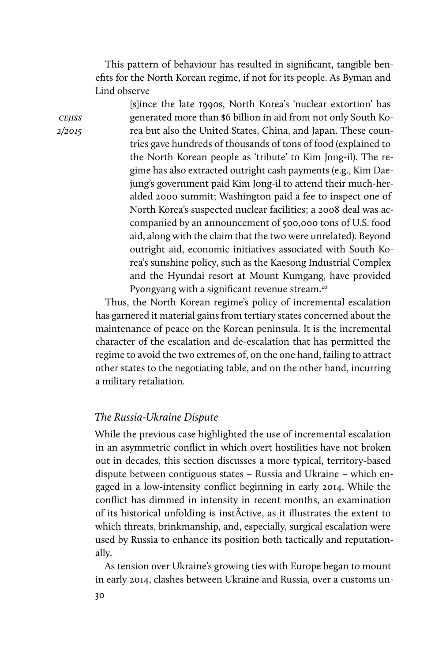This pattern of behaviour has resulted in significant, tangible benefits for the North Korean regime, if not for its people. As Byman and Lind observe

> [s]ince the late 1990s, North Korea's 'nuclear extortion' has generated more than \$6 billion in aid from not only South Korea but also the United States, China, and Japan. These countries gave hundreds of thousands of tons of food (explained to the North Korean people as 'tribute' to Kim Jong-il). The regime has also extracted outright cash payments (e.g., Kim Daejung's government paid Kim Jong-il to attend their much-heralded 2000 summit; Washington paid a fee to inspect one of North Korea's suspected nuclear facilities; a 2008 deal was accompanied by an announcement of 500,000 tons of U.S. food aid, along with the claim that the two were unrelated). Beyond outright aid, economic initiatives associated with South Korea's sunshine policy, such as the Kaesong Industrial Complex and the Hyundai resort at Mount Kumgang, have provided Pyongyang with a significant revenue stream.<sup>20</sup>

Thus, the North Korean regime's policy of incremental escalation has garnered it material gains from tertiary states concerned about the maintenance of peace on the Korean peninsula. It is the incremental character of the escalation and de-escalation that has permitted the regime to avoid the two extremes of, on the one hand, failing to attract other states to the negotiating table, and on the other hand, incurring a military retaliation.

### The Russia-Ukraine Dispute

While the previous case highlighted the use of incremental escalation in an asymmetric conflict in which overt hostilities have not broken out in decades, this section discusses a more typical, territory-based dispute between contiguous states – Russia and Ukraine – which engaged in a low-intensity conflict beginning in early 2014. While the conflict has dimmed in intensity in recent months, an examination of its historical unfolding is instÂctive, as it illustrates the extent to which threats, brinkmanship, and, especially, surgical escalation were used by Russia to enhance its position both tactically and reputationally.

As tension over Ukraine's growing ties with Europe began to mount in early 2014, clashes between Ukraine and Russia, over a customs un-

**CEJISS** 2/2015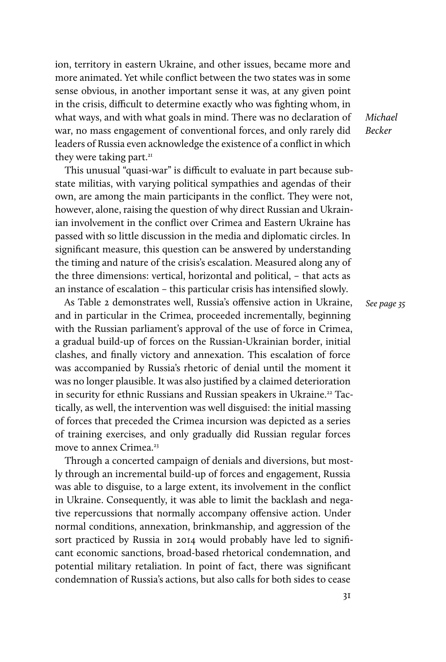ion, territory in eastern Ukraine, and other issues, became more and more animated. Yet while conflict between the two states was in some sense obvious, in another important sense it was, at any given point in the crisis, difficult to determine exactly who was fighting whom, in what ways, and with what goals in mind. There was no declaration of war, no mass engagement of conventional forces, and only rarely did leaders of Russia even acknowledge the existence of a conflict in which they were taking part.<sup>21</sup>

This unusual "quasi-war" is difficult to evaluate in part because substate militias, with varying political sympathies and agendas of their own, are among the main participants in the conflict. They were not, however, alone, raising the question of why direct Russian and Ukrainian involvement in the conflict over Crimea and Eastern Ukraine has passed with so little discussion in the media and diplomatic circles. In significant measure, this question can be answered by understanding the timing and nature of the crisis's escalation. Measured along any of the three dimensions: vertical, horizontal and political, – that acts as an instance of escalation – this particular crisis has intensified slowly.

As Table 2 demonstrates well, Russia's offensive action in Ukraine, and in particular in the Crimea, proceeded incrementally, beginning with the Russian parliament's approval of the use of force in Crimea, a gradual build-up of forces on the Russian-Ukrainian border, initial clashes, and finally victory and annexation. This escalation of force was accompanied by Russia's rhetoric of denial until the moment it was no longer plausible. It was also justified by a claimed deterioration in security for ethnic Russians and Russian speakers in Ukraine.<sup>22</sup> Tactically, as well, the intervention was well disguised: the initial massing of forces that preceded the Crimea incursion was depicted as a series of training exercises, and only gradually did Russian regular forces move to annex Crimea.<sup>23</sup>

Through a concerted campaign of denials and diversions, but mostly through an incremental build-up of forces and engagement, Russia was able to disguise, to a large extent, its involvement in the conflict in Ukraine. Consequently, it was able to limit the backlash and negative repercussions that normally accompany offensive action. Under normal conditions, annexation, brinkmanship, and aggression of the sort practiced by Russia in 2014 would probably have led to significant economic sanctions, broad-based rhetorical condemnation, and potential military retaliation. In point of fact, there was significant condemnation of Russia's actions, but also calls for both sides to cease

Michael Becker

See page 35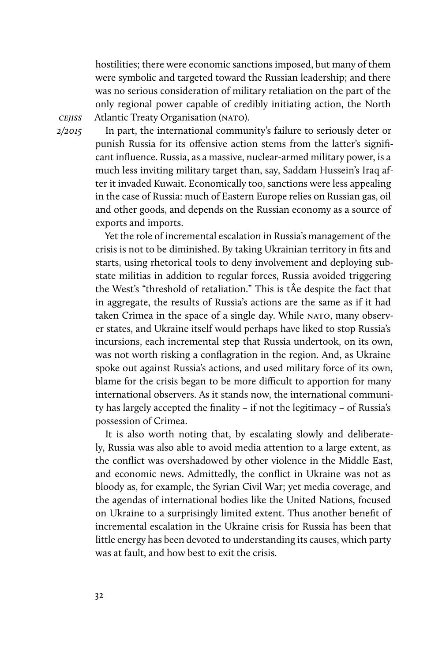hostilities; there were economic sanctions imposed, but many of them were symbolic and targeted toward the Russian leadership; and there was no serious consideration of military retaliation on the part of the only regional power capable of credibly initiating action, the North Atlantic Treaty Organisation (NATO).

**CEJISS** 2/2015

In part, the international community's failure to seriously deter or punish Russia for its offensive action stems from the latter's significant influence. Russia, as a massive, nuclear-armed military power, is a much less inviting military target than, say, Saddam Hussein's Iraq after it invaded Kuwait. Economically too, sanctions were less appealing in the case of Russia: much of Eastern Europe relies on Russian gas, oil and other goods, and depends on the Russian economy as a source of exports and imports.

Yet the role of incremental escalation in Russia's management of the crisis is not to be diminished. By taking Ukrainian territory in fits and starts, using rhetorical tools to deny involvement and deploying substate militias in addition to regular forces, Russia avoided triggering the West's "threshold of retaliation." This is tÂe despite the fact that in aggregate, the results of Russia's actions are the same as if it had taken Crimea in the space of a single day. While NATO, many observer states, and Ukraine itself would perhaps have liked to stop Russia's incursions, each incremental step that Russia undertook, on its own, was not worth risking a conflagration in the region. And, as Ukraine spoke out against Russia's actions, and used military force of its own, blame for the crisis began to be more difficult to apportion for many international observers. As it stands now, the international community has largely accepted the finality – if not the legitimacy – of Russia's possession of Crimea.

It is also worth noting that, by escalating slowly and deliberately, Russia was also able to avoid media attention to a large extent, as the conflict was overshadowed by other violence in the Middle East, and economic news. Admittedly, the conflict in Ukraine was not as bloody as, for example, the Syrian Civil War; yet media coverage, and the agendas of international bodies like the United Nations, focused on Ukraine to a surprisingly limited extent. Thus another benefit of incremental escalation in the Ukraine crisis for Russia has been that little energy has been devoted to understanding its causes, which party was at fault, and how best to exit the crisis.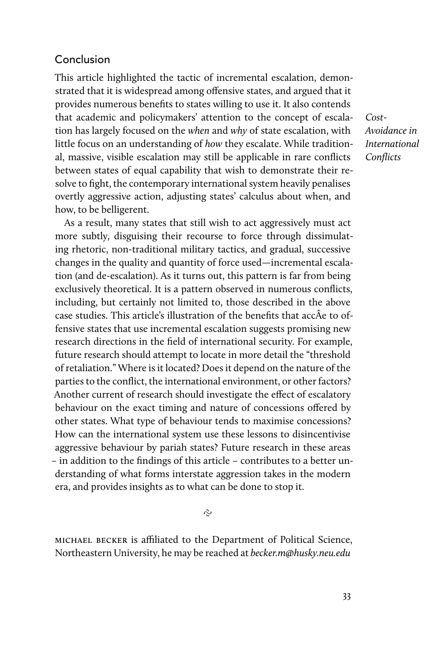# Conclusion

This article highlighted the tactic of incremental escalation, demonstrated that it is widespread among offensive states, and argued that it provides numerous benefits to states willing to use it. It also contends that academic and policymakers' attention to the concept of escalation has largely focused on the when and why of state escalation, with little focus on an understanding of how they escalate. While traditional, massive, visible escalation may still be applicable in rare conflicts between states of equal capability that wish to demonstrate their resolve to fight, the contemporary international system heavily penalises overtly aggressive action, adjusting states' calculus about when, and how, to be belligerent.

As a result, many states that still wish to act aggressively must act more subtly, disguising their recourse to force through dissimulating rhetoric, non-traditional military tactics, and gradual, successive changes in the quality and quantity of force used—incremental escalation (and de-escalation). As it turns out, this pattern is far from being exclusively theoretical. It is a pattern observed in numerous conflicts, including, but certainly not limited to, those described in the above case studies. This article's illustration of the benefits that accÂe to offensive states that use incremental escalation suggests promising new research directions in the field of international security. For example, future research should attempt to locate in more detail the "threshold of retaliation." Where is it located? Does it depend on the nature of the parties to the conflict, the international environment, or other factors? Another current of research should investigate the effect of escalatory behaviour on the exact timing and nature of concessions offered by other states. What type of behaviour tends to maximise concessions? How can the international system use these lessons to disincentivise aggressive behaviour by pariah states? Future research in these areas – in addition to the findings of this article – contributes to a better understanding of what forms interstate aggression takes in the modern era, and provides insights as to what can be done to stop it.

Cost-Avoidance in International **Conflicts** 

 $\hat{\mathcal{C}}$ 

michael becker is afliated to the Department of Political Science, Northeastern University, he may be reached at becker.m@husky.neu.edu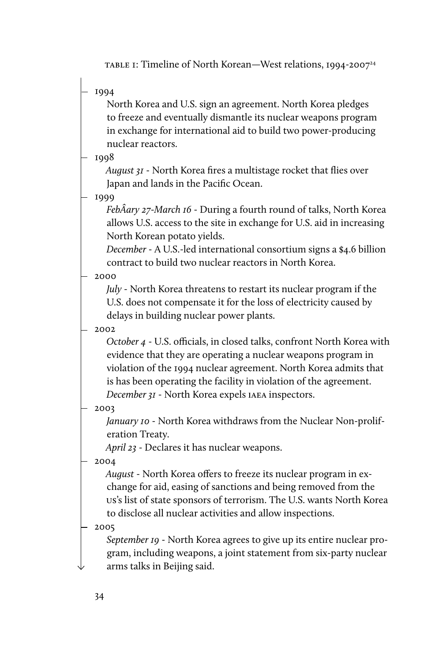TABLE 1: Timeline of North Korean—West relations, 1994-2007<sup>24</sup>

1994

North Korea and U.S. sign an agreement. North Korea pledges to freeze and eventually dismantle its nuclear weapons program in exchange for international aid to build two power-producing nuclear reactors.

1998

August 31 - North Korea fires a multistage rocket that flies over Japan and lands in the Pacific Ocean.

1999

FebÂary 27-March 16 - During a fourth round of talks, North Korea allows U.S. access to the site in exchange for U.S. aid in increasing North Korean potato yields.

December - A U.S.-led international consortium signs a \$4.6 billion contract to build two nuclear reactors in North Korea.

2000

July - North Korea threatens to restart its nuclear program if the U.S. does not compensate it for the loss of electricity caused by delays in building nuclear power plants.

2002

October 4 - U.S. officials, in closed talks, confront North Korea with evidence that they are operating a nuclear weapons program in violation of the 1994 nuclear agreement. North Korea admits that is has been operating the facility in violation of the agreement. December 31 - North Korea expels iaea inspectors.

2003

January 10 - North Korea withdraws from the Nuclear Non-proliferation Treaty.

April 23 - Declares it has nuclear weapons.

2004

August - North Korea offers to freeze its nuclear program in exchange for aid, easing of sanctions and being removed from the us's list of state sponsors of terrorism. The U.S. wants North Korea to disclose all nuclear activities and allow inspections.

2005

September 19 - North Korea agrees to give up its entire nuclear program, including weapons, a joint statement from six-party nuclear arms talks in Beijing said.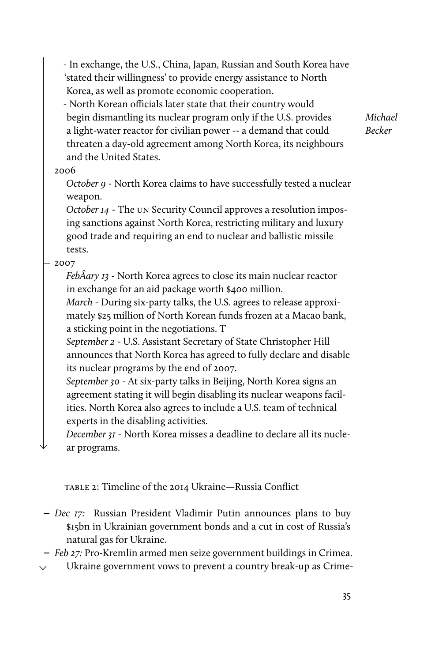- In exchange, the U.S., China, Japan, Russian and South Korea have 'stated their willingness' to provide energy assistance to North Korea, as well as promote economic cooperation.

- North Korean officials later state that their country would begin dismantling its nuclear program only if the U.S. provides a light-water reactor for civilian power -- a demand that could threaten a day-old agreement among North Korea, its neighbours and the United States.

Michael Becker

### $-2006$

October 9 - North Korea claims to have successfully tested a nuclear weapon.

October 14 - The un Security Council approves a resolution imposing sanctions against North Korea, restricting military and luxury good trade and requiring an end to nuclear and ballistic missile tests.

 $-2007$ 

FebÂary 13 - North Korea agrees to close its main nuclear reactor in exchange for an aid package worth \$400 million.

March - During six-party talks, the U.S. agrees to release approximately \$25 million of North Korean funds frozen at a Macao bank, a sticking point in the negotiations. T

September 2 - U.S. Assistant Secretary of State Christopher Hill announces that North Korea has agreed to fully declare and disable its nuclear programs by the end of 2007.

September 30 - At six-party talks in Beijing, North Korea signs an agreement stating it will begin disabling its nuclear weapons facilities. North Korea also agrees to include a U.S. team of technical experts in the disabling activities.

December 31 - North Korea misses a deadline to declare all its nuclear programs.

table 2: Timeline of the 2014 Ukraine—Russia Conflict

- Dec 17: Russian President Vladimir Putin announces plans to buy \$15bn in Ukrainian government bonds and a cut in cost of Russia's natural gas for Ukraine.
- Feb 27: Pro-Kremlin armed men seize government buildings in Crimea. Ukraine government vows to prevent a country break-up as Crime-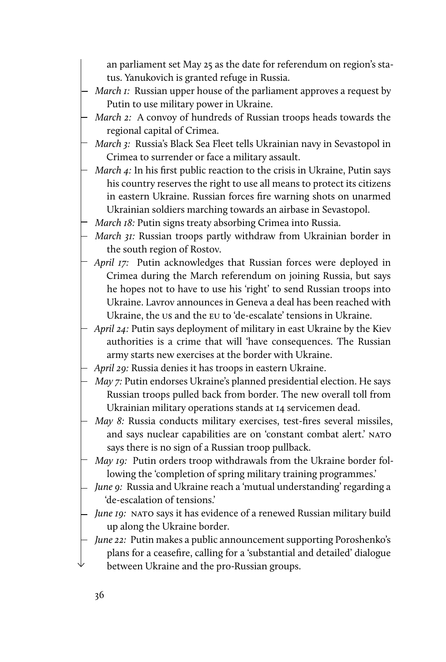an parliament set May 25 as the date for referendum on region's status. Yanukovich is granted refuge in Russia.

- $-$  March 1: Russian upper house of the parliament approves a request by Putin to use military power in Ukraine.
- March 2: A convoy of hundreds of Russian troops heads towards the regional capital of Crimea.
- March 3: Russia's Black Sea Fleet tells Ukrainian navy in Sevastopol in Crimea to surrender or face a military assault.
- March 4: In his first public reaction to the crisis in Ukraine, Putin says his country reserves the right to use all means to protect its citizens in eastern Ukraine. Russian forces fire warning shots on unarmed Ukrainian soldiers marching towards an airbase in Sevastopol.
- March 18: Putin signs treaty absorbing Crimea into Russia.
- March 31: Russian troops partly withdraw from Ukrainian border in the south region of Rostov.
- April 17: Putin acknowledges that Russian forces were deployed in Crimea during the March referendum on joining Russia, but says he hopes not to have to use his 'right' to send Russian troops into Ukraine. Lavrov announces in Geneva a deal has been reached with Ukraine, the us and the eu to 'de-escalate' tensions in Ukraine.
- April 24: Putin says deployment of military in east Ukraine by the Kiev authorities is a crime that will 'have consequences. The Russian army starts new exercises at the border with Ukraine.
- April 29: Russia denies it has troops in eastern Ukraine.
- May 7: Putin endorses Ukraine's planned presidential election. He says Russian troops pulled back from border. The new overall toll from Ukrainian military operations stands at 14 servicemen dead.
- May 8: Russia conducts military exercises, test-fires several missiles, and says nuclear capabilities are on 'constant combat alert.' NATO says there is no sign of a Russian troop pullback.
- May 19: Putin orders troop withdrawals from the Ukraine border following the 'completion of spring military training programmes.'
- June 9: Russia and Ukraine reach a 'mutual understanding' regarding a 'de-escalation of tensions.'
- June 19: NATO says it has evidence of a renewed Russian military build up along the Ukraine border.
- June 22: Putin makes a public announcement supporting Poroshenko's plans for a ceasefire, calling for a 'substantial and detailed' dialogue between Ukraine and the pro-Russian groups.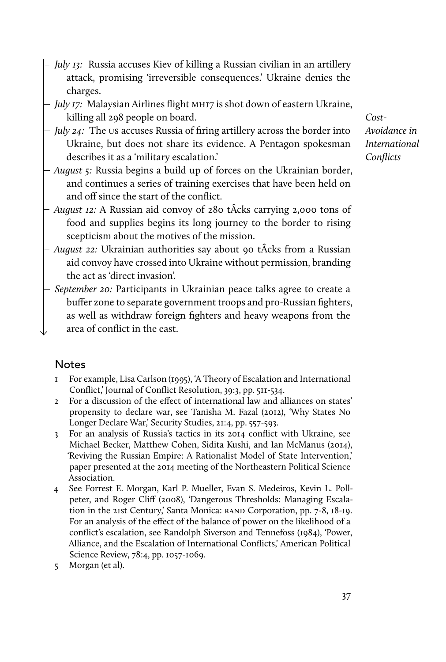- July 13: Russia accuses Kiev of killing a Russian civilian in an artillery attack, promising 'irreversible consequences.' Ukraine denies the charges.
- July 17: Malaysian Airlines flight MH17 is shot down of eastern Ukraine, killing all 298 people on board.
- $-$  *July 24:* The us accuses Russia of firing artillery across the border into Ukraine, but does not share its evidence. A Pentagon spokesman describes it as a 'military escalation.'
- August 5: Russia begins a build up of forces on the Ukrainian border, and continues a series of training exercises that have been held on and off since the start of the conflict.
- *August 12:* A Russian aid convoy of 280 tÂcks carrying 2,000 tons of food and supplies begins its long journey to the border to rising scepticism about the motives of the mission.
- *August 22:* Ukrainian authorities say about 90 tÂcks from a Russian aid convoy have crossed into Ukraine without permission, branding the act as 'direct invasion'.
- September 20: Participants in Ukrainian peace talks agree to create a buffer zone to separate government troops and pro-Russian fighters, as well as withdraw foreign fighters and heavy weapons from the area of conflict in the east.

# Notes

- 1 For example, Lisa Carlson (1995), 'A Theory of Escalation and International Conflict,' Journal of Conflict Resolution, 39:3, pp. 511-534.
- 2 For a discussion of the effect of international law and alliances on states' propensity to declare war, see Tanisha M. Fazal (2012), 'Why States No Longer Declare War,' Security Studies, 21:4, pp. 557-593.
- 3 For an analysis of Russia's tactics in its 2014 conflict with Ukraine, see Michael Becker, Matthew Cohen, Sidita Kushi, and Ian McManus (2014), 'Reviving the Russian Empire: A Rationalist Model of State Intervention,' paper presented at the 2014 meeting of the Northeastern Political Science Association.
- 4 See Forrest E. Morgan, Karl P. Mueller, Evan S. Medeiros, Kevin L. Pollpeter, and Roger Cliff (2008), 'Dangerous Thresholds: Managing Escalation in the 21st Century,' Santa Monica: RAND Corporation, pp. 7-8, 18-19. For an analysis of the effect of the balance of power on the likelihood of a conflict's escalation, see Randolph Siverson and Tennefoss (1984), 'Power, Alliance, and the Escalation of International Conflicts,' American Political Science Review, 78:4, pp. 1057-1069.
- 5 Morgan (et al).

Cost-Avoidance in International **Conflicts**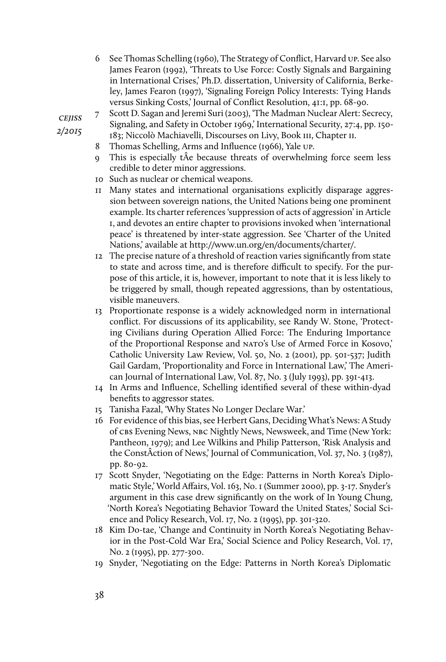- 6 See Thomas Schelling (1960), The Strategy of Conflict, Harvard up. See also James Fearon (1992), 'Threats to Use Force: Costly Signals and Bargaining in International Crises,' Ph.D. dissertation, University of California, Berkeley, James Fearon (1997), 'Signaling Foreign Policy Interests: Tying Hands versus Sinking Costs,' Journal of Conflict Resolution, 41:1, pp. 68-90.
- 7 Scott D. Sagan and Jeremi Suri (2003), 'The Madman Nuclear Alert: Secrecy, Signaling, and Safety in October 1969,' International Security, 27:4, pp. 150-
- 183; Niccolò Machiavelli, Discourses on Livy, Book iii, Chapter ii.
- 8 Thomas Schelling, Arms and Influence (1966), Yale up.
- 9 This is especially tÂe because threats of overwhelming force seem less credible to deter minor aggressions.
- 10 Such as nuclear or chemical weapons.
- 11 Many states and international organisations explicitly disparage aggression between sovereign nations, the United Nations being one prominent example. Its charter references 'suppression of acts of aggression' in Article 1, and devotes an entire chapter to provisions invoked when 'international peace' is threatened by inter-state aggression. See 'Charter of the United Nations,' available at http://www.un.org/en/documents/charter/.
- 12 The precise nature of a threshold of reaction varies significantly from state to state and across time, and is therefore difficult to specify. For the purpose of this article, it is, however, important to note that it is less likely to be triggered by small, though repeated aggressions, than by ostentatious, visible maneuvers.
- 13 Proportionate response is a widely acknowledged norm in international conflict. For discussions of its applicability, see Randy W. Stone, 'Protecting Civilians during Operation Allied Force: The Enduring Importance of the Proportional Response and nato's Use of Armed Force in Kosovo,' Catholic University Law Review, Vol. 50, No. 2 (2001), pp. 501-537; Judith Gail Gardam, 'Proportionality and Force in International Law,' The American Journal of International Law, Vol. 87, No. 3 (July 1993), pp. 391-413.
- 14 In Arms and Influence, Schelling identified several of these within-dyad benefits to aggressor states.
- 15 Tanisha Fazal, 'Why States No Longer Declare War.'
- 16 For evidence of this bias, see Herbert Gans, Deciding What's News: A Study of cbs Evening News, nbc Nightly News, Newsweek, and Time (New York: Pantheon, 1979); and Lee Wilkins and Philip Patterson, 'Risk Analysis and the ConstÂction of News,' Journal of Communication, Vol. 37, No. 3 (1987), pp. 80-92.
- 17 Scott Snyder, 'Negotiating on the Edge: Patterns in North Korea's Diplomatic Style,' World Affairs, Vol. 163, No. 1 (Summer 2000), pp. 3-17. Snyder's argument in this case drew significantly on the work of In Young Chung, 'North Korea's Negotiating Behavior Toward the United States,' Social Science and Policy Research, Vol. 17, No. 2 (1995), pp. 301-320.
- 18 Kim Do-tae, 'Change and Continuity in North Korea's Negotiating Behavior in the Post-Cold War Era,' Social Science and Policy Research, Vol. 17, No. 2 (1995), pp. 277-300.
- 19 Snyder, 'Negotiating on the Edge: Patterns in North Korea's Diplomatic

**CEJISS** 2/2015